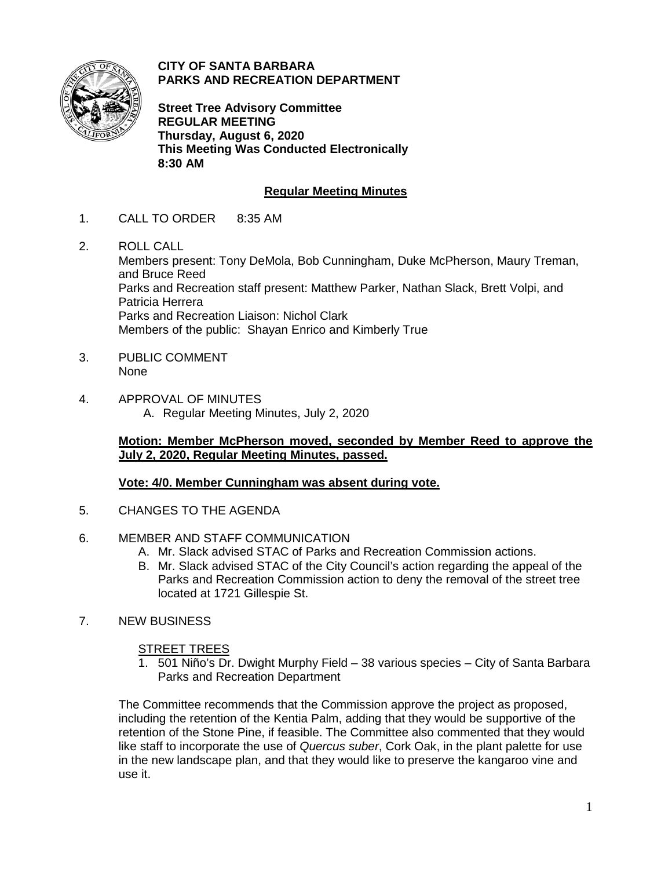

**CITY OF SANTA BARBARA PARKS AND RECREATION DEPARTMENT**

**Street Tree Advisory Committee REGULAR MEETING Thursday, August 6, 2020 This Meeting Was Conducted Electronically 8:30 AM**

# **Regular Meeting Minutes**

- 1. CALL TO ORDER 8:35 AM
- 2. ROLL CALL Members present: Tony DeMola, Bob Cunningham, Duke McPherson, Maury Treman, and Bruce Reed Parks and Recreation staff present: Matthew Parker, Nathan Slack, Brett Volpi, and Patricia Herrera Parks and Recreation Liaison: Nichol Clark Members of the public: Shayan Enrico and Kimberly True
- 3. PUBLIC COMMENT None
- 4. APPROVAL OF MINUTES A. Regular Meeting Minutes, July 2, 2020

## **Motion: Member McPherson moved, seconded by Member Reed to approve the July 2, 2020, Regular Meeting Minutes, passed.**

### **Vote: 4/0. Member Cunningham was absent during vote.**

- 5. CHANGES TO THE AGENDA
- 6. MEMBER AND STAFF COMMUNICATION
	- A. Mr. Slack advised STAC of Parks and Recreation Commission actions.
	- B. Mr. Slack advised STAC of the City Council's action regarding the appeal of the Parks and Recreation Commission action to deny the removal of the street tree located at 1721 Gillespie St.
- 7. NEW BUSINESS

### STREET TREES

1. 501 Niño's Dr. Dwight Murphy Field – 38 various species – City of Santa Barbara Parks and Recreation Department

The Committee recommends that the Commission approve the project as proposed, including the retention of the Kentia Palm, adding that they would be supportive of the retention of the Stone Pine, if feasible. The Committee also commented that they would like staff to incorporate the use of *Quercus suber*, Cork Oak, in the plant palette for use in the new landscape plan, and that they would like to preserve the kangaroo vine and use it.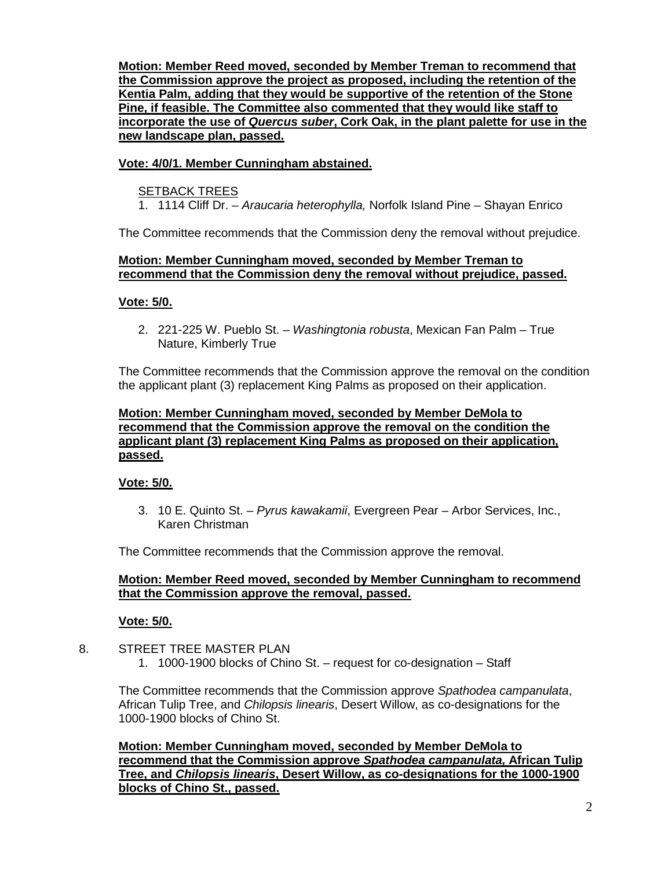**Motion: Member Reed moved, seconded by Member Treman to recommend that the Commission approve the project as proposed, including the retention of the Kentia Palm, adding that they would be supportive of the retention of the Stone Pine, if feasible. The Committee also commented that they would like staff to incorporate the use of** *Quercus suber***, Cork Oak, in the plant palette for use in the new landscape plan, passed.** 

## **Vote: 4/0/1. Member Cunningham abstained.**

# SETBACK TREES

1. 1114 Cliff Dr. – *Araucaria heterophylla,* Norfolk Island Pine – Shayan Enrico

The Committee recommends that the Commission deny the removal without prejudice.

## **Motion: Member Cunningham moved, seconded by Member Treman to recommend that the Commission deny the removal without prejudice, passed.**

### **Vote: 5/0.**

2. 221-225 W. Pueblo St. – *Washingtonia robusta*, Mexican Fan Palm – True Nature, Kimberly True

The Committee recommends that the Commission approve the removal on the condition the applicant plant (3) replacement King Palms as proposed on their application.

### **Motion: Member Cunningham moved, seconded by Member DeMola to recommend that the Commission approve the removal on the condition the applicant plant (3) replacement King Palms as proposed on their application, passed.**

# **Vote: 5/0.**

3. 10 E. Quinto St. – *Pyrus kawakamii*, Evergreen Pear – Arbor Services, Inc., Karen Christman

The Committee recommends that the Commission approve the removal.

### **Motion: Member Reed moved, seconded by Member Cunningham to recommend that the Commission approve the removal, passed.**

### **Vote: 5/0.**

8. STREET TREE MASTER PLAN 1. 1000-1900 blocks of Chino St. – request for co-designation – Staff

The Committee recommends that the Commission approve *Spathodea campanulata*, African Tulip Tree, and *Chilopsis linearis*, Desert Willow, as co-designations for the 1000-1900 blocks of Chino St.

**Motion: Member Cunningham moved, seconded by Member DeMola to recommend that the Commission approve** *Spathodea campanulata,* **African Tulip Tree, and** *Chilopsis linearis***, Desert Willow, as co-designations for the 1000-1900 blocks of Chino St., passed.**